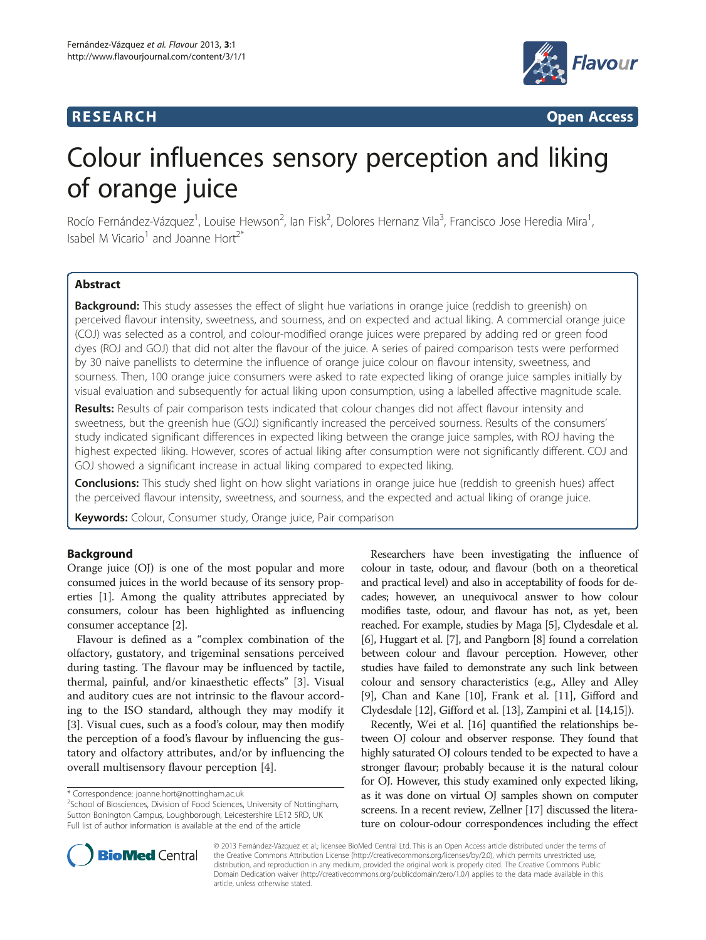## **RESEARCH RESEARCH** *CHECKER CHECKER CHECKER CHECKER CHECKER CHECKER CHECKER CHECKER CHECKER CHECKER CHECKER*



# Colour influences sensory perception and liking of orange juice

Rocío Fernández-Vázquez<sup>1</sup>, Louise Hewson<sup>2</sup>, Ian Fisk<sup>2</sup>, Dolores Hernanz Vila<sup>3</sup>, Francisco Jose Heredia Mira<sup>1</sup> , Isabel M Vicario<sup>1</sup> and Joanne Hort<sup>2\*</sup>

## **Abstract**

**Background:** This study assesses the effect of slight hue variations in orange juice (reddish to greenish) on perceived flavour intensity, sweetness, and sourness, and on expected and actual liking. A commercial orange juice (COJ) was selected as a control, and colour-modified orange juices were prepared by adding red or green food dyes (ROJ and GOJ) that did not alter the flavour of the juice. A series of paired comparison tests were performed by 30 naive panellists to determine the influence of orange juice colour on flavour intensity, sweetness, and sourness. Then, 100 orange juice consumers were asked to rate expected liking of orange juice samples initially by visual evaluation and subsequently for actual liking upon consumption, using a labelled affective magnitude scale.

Results: Results of pair comparison tests indicated that colour changes did not affect flavour intensity and sweetness, but the greenish hue (GOJ) significantly increased the perceived sourness. Results of the consumers' study indicated significant differences in expected liking between the orange juice samples, with ROJ having the highest expected liking. However, scores of actual liking after consumption were not significantly different. COJ and GOJ showed a significant increase in actual liking compared to expected liking.

Conclusions: This study shed light on how slight variations in orange juice hue (reddish to greenish hues) affect the perceived flavour intensity, sweetness, and sourness, and the expected and actual liking of orange juice.

Keywords: Colour, Consumer study, Orange juice, Pair comparison

## Background

Orange juice (OJ) is one of the most popular and more consumed juices in the world because of its sensory properties [\[1](#page-6-0)]. Among the quality attributes appreciated by consumers, colour has been highlighted as influencing consumer acceptance [\[2](#page-6-0)].

Flavour is defined as a "complex combination of the olfactory, gustatory, and trigeminal sensations perceived during tasting. The flavour may be influenced by tactile, thermal, painful, and/or kinaesthetic effects" [[3\]](#page-6-0). Visual and auditory cues are not intrinsic to the flavour according to the ISO standard, although they may modify it [[3\]](#page-6-0). Visual cues, such as a food's colour, may then modify the perception of a food's flavour by influencing the gustatory and olfactory attributes, and/or by influencing the overall multisensory flavour perception [\[4](#page-6-0)].

Researchers have been investigating the influence of colour in taste, odour, and flavour (both on a theoretical and practical level) and also in acceptability of foods for decades; however, an unequivocal answer to how colour modifies taste, odour, and flavour has not, as yet, been reached. For example, studies by Maga [\[5\]](#page-6-0), Clydesdale et al. [[6](#page-6-0)], Huggart et al. [\[7](#page-6-0)], and Pangborn [[8](#page-6-0)] found a correlation between colour and flavour perception. However, other studies have failed to demonstrate any such link between colour and sensory characteristics (e.g., Alley and Alley [[9\]](#page-6-0), Chan and Kane [[10](#page-6-0)], Frank et al. [[11\]](#page-6-0), Gifford and Clydesdale [\[12\]](#page-6-0), Gifford et al. [[13](#page-6-0)], Zampini et al. [\[14,15\]](#page-6-0)).

Recently, Wei et al. [[16](#page-6-0)] quantified the relationships between OJ colour and observer response. They found that highly saturated OJ colours tended to be expected to have a stronger flavour; probably because it is the natural colour for OJ. However, this study examined only expected liking, as it was done on virtual OJ samples shown on computer screens. In a recent review, Zellner [\[17](#page-7-0)] discussed the literature on colour-odour correspondences including the effect



© 2013 Fernández-Vázquez et al.; licensee BioMed Central Ltd. This is an Open Access article distributed under the terms of the Creative Commons Attribution License [\(http://creativecommons.org/licenses/by/2.0\)](http://creativecommons.org/licenses/by/2.0), which permits unrestricted use, distribution, and reproduction in any medium, provided the original work is properly cited. The Creative Commons Public Domain Dedication waiver [\(http://creativecommons.org/publicdomain/zero/1.0/\)](http://creativecommons.org/publicdomain/zero/1.0/) applies to the data made available in this article, unless otherwise stated.

<sup>\*</sup> Correspondence: [joanne.hort@nottingham.ac.uk](mailto:joanne.hort@nottingham.ac.uk) <sup>2</sup>

<sup>&</sup>lt;sup>2</sup>School of Biosciences, Division of Food Sciences, University of Nottingham, Sutton Bonington Campus, Loughborough, Leicestershire LE12 5RD, UK Full list of author information is available at the end of the article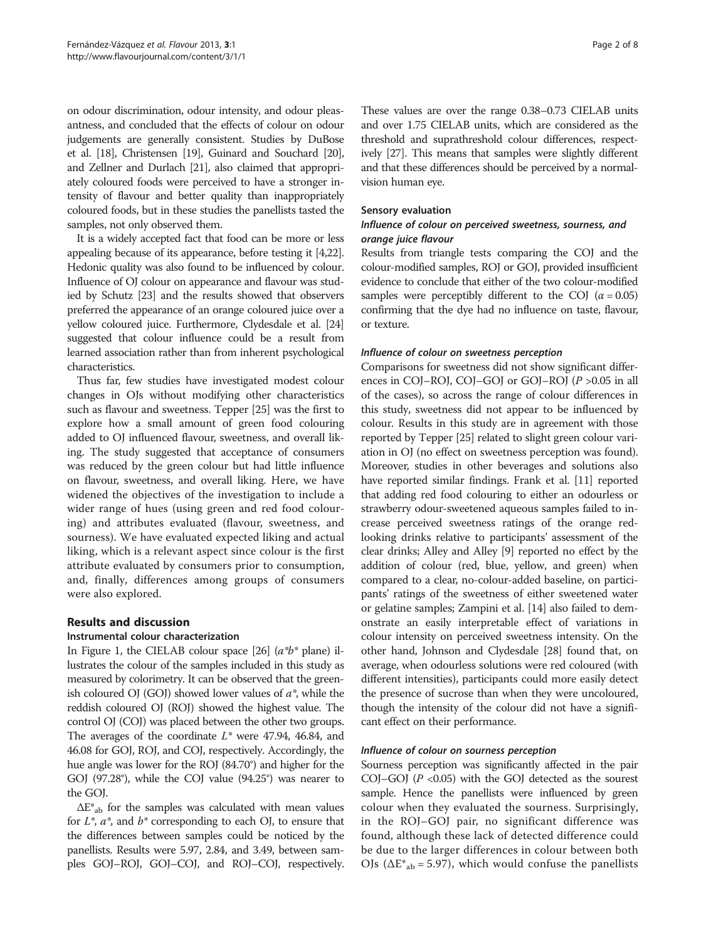on odour discrimination, odour intensity, and odour pleasantness, and concluded that the effects of colour on odour judgements are generally consistent. Studies by DuBose et al. [\[18\]](#page-7-0), Christensen [\[19](#page-7-0)], Guinard and Souchard [\[20](#page-7-0)], and Zellner and Durlach [\[21\]](#page-7-0), also claimed that appropriately coloured foods were perceived to have a stronger intensity of flavour and better quality than inappropriately coloured foods, but in these studies the panellists tasted the samples, not only observed them.

It is a widely accepted fact that food can be more or less appealing because of its appearance, before testing it [\[4](#page-6-0)[,22](#page-7-0)]. Hedonic quality was also found to be influenced by colour. Influence of OJ colour on appearance and flavour was studied by Schutz [\[23\]](#page-7-0) and the results showed that observers preferred the appearance of an orange coloured juice over a yellow coloured juice. Furthermore, Clydesdale et al. [\[24](#page-7-0)] suggested that colour influence could be a result from learned association rather than from inherent psychological characteristics.

Thus far, few studies have investigated modest colour changes in OJs without modifying other characteristics such as flavour and sweetness. Tepper [\[25](#page-7-0)] was the first to explore how a small amount of green food colouring added to OJ influenced flavour, sweetness, and overall liking. The study suggested that acceptance of consumers was reduced by the green colour but had little influence on flavour, sweetness, and overall liking. Here, we have widened the objectives of the investigation to include a wider range of hues (using green and red food colouring) and attributes evaluated (flavour, sweetness, and sourness). We have evaluated expected liking and actual liking, which is a relevant aspect since colour is the first attribute evaluated by consumers prior to consumption, and, finally, differences among groups of consumers were also explored.

## Results and discussion

## Instrumental colour characterization

In Figure [1](#page-2-0), the CIELAB colour space [[26](#page-7-0)]  $(a^*b^*$  plane) illustrates the colour of the samples included in this study as measured by colorimetry. It can be observed that the greenish coloured OJ (GOJ) showed lower values of  $a^*$ , while the reddish coloured OJ (ROJ) showed the highest value. The control OJ (COJ) was placed between the other two groups. The averages of the coordinate  $L^*$  were 47.94, 46.84, and 46.08 for GOJ, ROJ, and COJ, respectively. Accordingly, the hue angle was lower for the ROJ (84.70°) and higher for the GOJ (97.28°), while the COJ value (94.25°) was nearer to the GOJ.

 $\Delta E^*$ <sub>ab</sub> for the samples was calculated with mean values for  $L^*$ ,  $a^*$ , and  $b^*$  corresponding to each OJ, to ensure that the differences between samples could be noticed by the panellists. Results were 5.97, 2.84, and 3.49, between samples GOJ–ROJ, GOJ–COJ, and ROJ–COJ, respectively.

These values are over the range 0.38–0.73 CIELAB units and over 1.75 CIELAB units, which are considered as the threshold and suprathreshold colour differences, respectively [\[27](#page-7-0)]. This means that samples were slightly different and that these differences should be perceived by a normalvision human eye.

#### Sensory evaluation

### Influence of colour on perceived sweetness, sourness, and orange juice flavour

Results from triangle tests comparing the COJ and the colour-modified samples, ROJ or GOJ, provided insufficient evidence to conclude that either of the two colour-modified samples were perceptibly different to the COJ  $(\alpha = 0.05)$ confirming that the dye had no influence on taste, flavour, or texture.

## Influence of colour on sweetness perception

Comparisons for sweetness did not show significant differences in COJ–ROJ, COJ–GOJ or GOJ–ROJ (P >0.05 in all of the cases), so across the range of colour differences in this study, sweetness did not appear to be influenced by colour. Results in this study are in agreement with those reported by Tepper [[25](#page-7-0)] related to slight green colour variation in OJ (no effect on sweetness perception was found). Moreover, studies in other beverages and solutions also have reported similar findings. Frank et al. [[11](#page-6-0)] reported that adding red food colouring to either an odourless or strawberry odour-sweetened aqueous samples failed to increase perceived sweetness ratings of the orange redlooking drinks relative to participants' assessment of the clear drinks; Alley and Alley [\[9\]](#page-6-0) reported no effect by the addition of colour (red, blue, yellow, and green) when compared to a clear, no-colour-added baseline, on participants' ratings of the sweetness of either sweetened water or gelatine samples; Zampini et al. [\[14\]](#page-6-0) also failed to demonstrate an easily interpretable effect of variations in colour intensity on perceived sweetness intensity. On the other hand, Johnson and Clydesdale [[28](#page-7-0)] found that, on average, when odourless solutions were red coloured (with different intensities), participants could more easily detect the presence of sucrose than when they were uncoloured, though the intensity of the colour did not have a significant effect on their performance.

#### Influence of colour on sourness perception

Sourness perception was significantly affected in the pair COJ–GOJ ( $P$  <0.05) with the GOJ detected as the sourest sample. Hence the panellists were influenced by green colour when they evaluated the sourness. Surprisingly, in the ROJ–GOJ pair, no significant difference was found, although these lack of detected difference could be due to the larger differences in colour between both OJs ( $\Delta E^*_{ab}$  = 5.97), which would confuse the panellists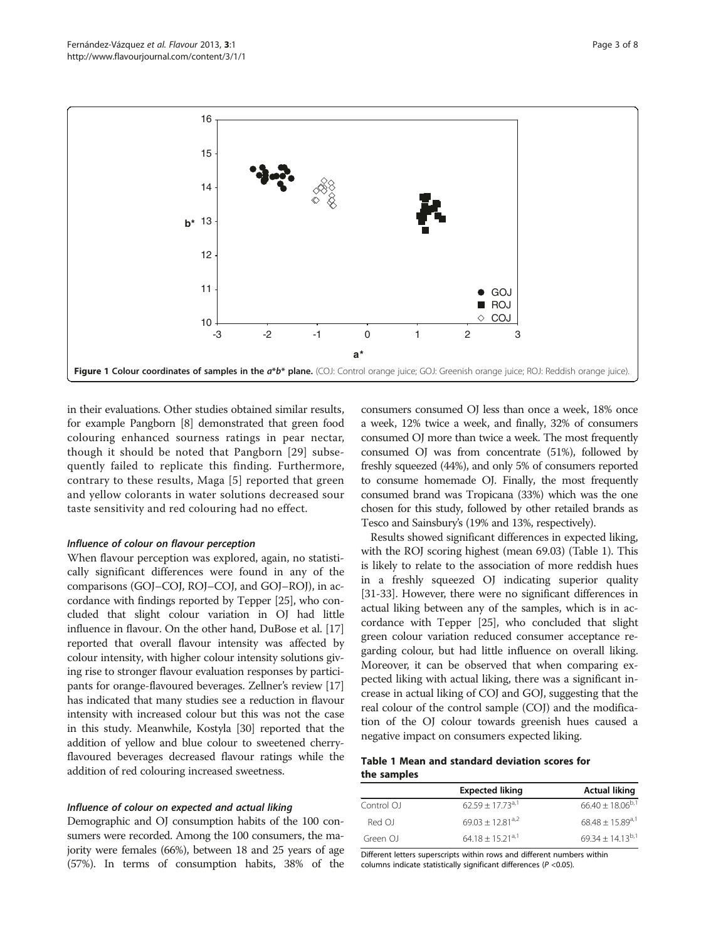<span id="page-2-0"></span>

in their evaluations. Other studies obtained similar results, for example Pangborn [\[8](#page-6-0)] demonstrated that green food colouring enhanced sourness ratings in pear nectar, though it should be noted that Pangborn [[29](#page-7-0)] subsequently failed to replicate this finding. Furthermore, contrary to these results, Maga [[5](#page-6-0)] reported that green and yellow colorants in water solutions decreased sour taste sensitivity and red colouring had no effect.

#### Influence of colour on flavour perception

When flavour perception was explored, again, no statistically significant differences were found in any of the comparisons (GOJ–COJ, ROJ–COJ, and GOJ–ROJ), in accordance with findings reported by Tepper [[25](#page-7-0)], who concluded that slight colour variation in OJ had little influence in flavour. On the other hand, DuBose et al. [[17](#page-7-0)] reported that overall flavour intensity was affected by colour intensity, with higher colour intensity solutions giving rise to stronger flavour evaluation responses by participants for orange-flavoured beverages. Zellner's review [[17](#page-7-0)] has indicated that many studies see a reduction in flavour intensity with increased colour but this was not the case in this study. Meanwhile, Kostyla [\[30](#page-7-0)] reported that the addition of yellow and blue colour to sweetened cherryflavoured beverages decreased flavour ratings while the addition of red colouring increased sweetness.

#### Influence of colour on expected and actual liking

Demographic and OJ consumption habits of the 100 consumers were recorded. Among the 100 consumers, the majority were females (66%), between 18 and 25 years of age (57%). In terms of consumption habits, 38% of the consumers consumed OJ less than once a week, 18% once a week, 12% twice a week, and finally, 32% of consumers consumed OJ more than twice a week. The most frequently consumed OJ was from concentrate (51%), followed by freshly squeezed (44%), and only 5% of consumers reported to consume homemade OJ. Finally, the most frequently consumed brand was Tropicana (33%) which was the one chosen for this study, followed by other retailed brands as Tesco and Sainsbury's (19% and 13%, respectively).

Results showed significant differences in expected liking, with the ROJ scoring highest (mean 69.03) (Table 1). This is likely to relate to the association of more reddish hues in a freshly squeezed OJ indicating superior quality [[31](#page-7-0)-[33\]](#page-7-0). However, there were no significant differences in actual liking between any of the samples, which is in accordance with Tepper [\[25\]](#page-7-0), who concluded that slight green colour variation reduced consumer acceptance regarding colour, but had little influence on overall liking. Moreover, it can be observed that when comparing expected liking with actual liking, there was a significant increase in actual liking of COJ and GOJ, suggesting that the real colour of the control sample (COJ) and the modification of the OJ colour towards greenish hues caused a negative impact on consumers expected liking.

#### Table 1 Mean and standard deviation scores for the samples

|            | <b>Expected liking</b> | <b>Actual liking</b>            |
|------------|------------------------|---------------------------------|
| Control OJ | $62.59 + 17.73^{a,1}$  | $66.40 \pm 18.06^{b,1}$         |
| Red OJ     | $69.03 + 12.81^{a,2}$  | $68.48 + 15.89$ <sup>a, 1</sup> |
| Green OJ   | $64.18 + 15.21^{a,1}$  | $69.34 \pm 14.13^{b,1}$         |

Different letters superscripts within rows and different numbers within columns indicate statistically significant differences (P <0.05).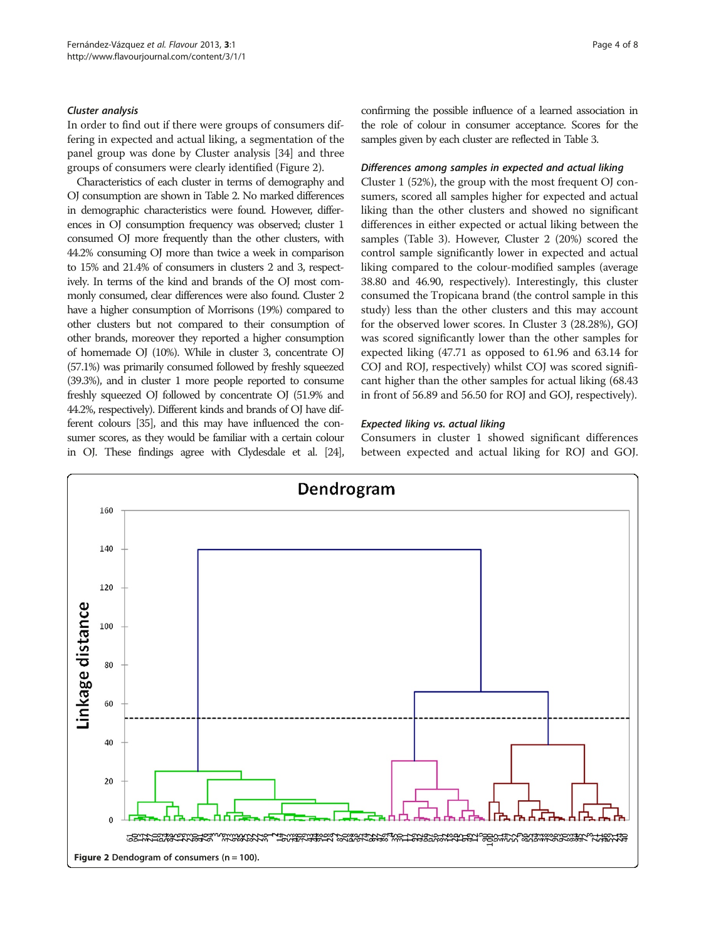#### Cluster analysis

In order to find out if there were groups of consumers differing in expected and actual liking, a segmentation of the panel group was done by Cluster analysis [[34\]](#page-7-0) and three groups of consumers were clearly identified (Figure 2).

Characteristics of each cluster in terms of demography and OJ consumption are shown in Table [2](#page-4-0). No marked differences in demographic characteristics were found. However, differences in OJ consumption frequency was observed; cluster 1 consumed OJ more frequently than the other clusters, with 44.2% consuming OJ more than twice a week in comparison to 15% and 21.4% of consumers in clusters 2 and 3, respectively. In terms of the kind and brands of the OJ most commonly consumed, clear differences were also found. Cluster 2 have a higher consumption of Morrisons (19%) compared to other clusters but not compared to their consumption of other brands, moreover they reported a higher consumption of homemade OJ (10%). While in cluster 3, concentrate OJ (57.1%) was primarily consumed followed by freshly squeezed (39.3%), and in cluster 1 more people reported to consume freshly squeezed OJ followed by concentrate OJ (51.9% and 44.2%, respectively). Different kinds and brands of OJ have different colours [\[35](#page-7-0)], and this may have influenced the consumer scores, as they would be familiar with a certain colour in OJ. These findings agree with Clydesdale et al. [[24\]](#page-7-0), confirming the possible influence of a learned association in the role of colour in consumer acceptance. Scores for the samples given by each cluster are reflected in Table [3](#page-4-0).

#### Differences among samples in expected and actual liking

Cluster 1 (52%), the group with the most frequent OJ consumers, scored all samples higher for expected and actual liking than the other clusters and showed no significant differences in either expected or actual liking between the samples (Table [3\)](#page-4-0). However, Cluster 2 (20%) scored the control sample significantly lower in expected and actual liking compared to the colour-modified samples (average 38.80 and 46.90, respectively). Interestingly, this cluster consumed the Tropicana brand (the control sample in this study) less than the other clusters and this may account for the observed lower scores. In Cluster 3 (28.28%), GOJ was scored significantly lower than the other samples for expected liking (47.71 as opposed to 61.96 and 63.14 for COJ and ROJ, respectively) whilst COJ was scored significant higher than the other samples for actual liking (68.43 in front of 56.89 and 56.50 for ROJ and GOJ, respectively).

#### Expected liking vs. actual liking

Consumers in cluster 1 showed significant differences between expected and actual liking for ROJ and GOJ.

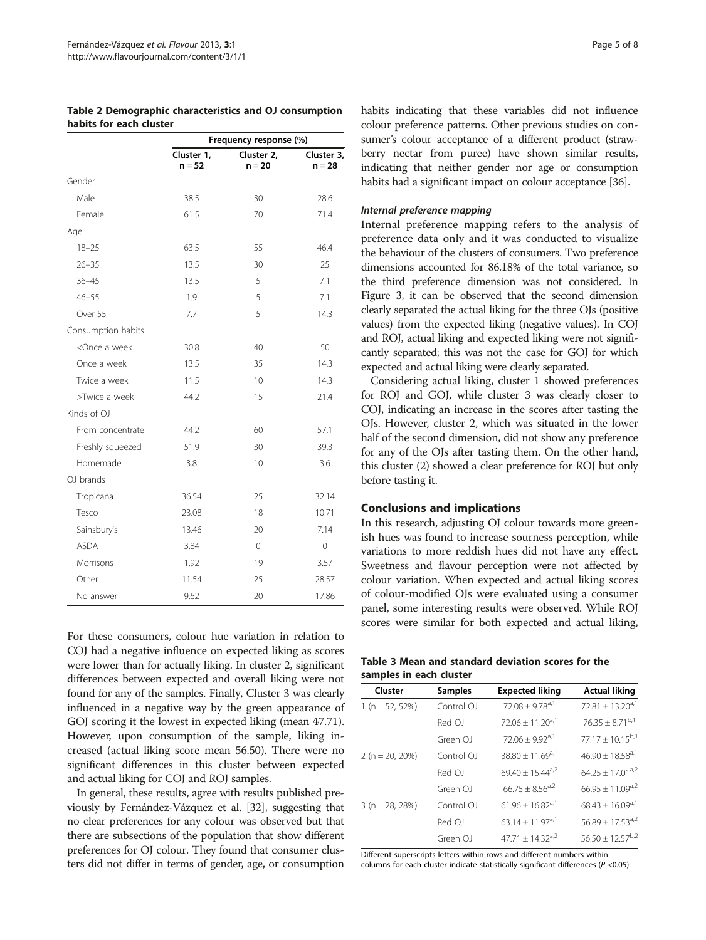<span id="page-4-0"></span>

| Table 2 Demographic characteristics and OJ consumption |  |  |
|--------------------------------------------------------|--|--|
| habits for each cluster                                |  |  |

|                                                                      | Frequency response (%) |                        |                        |
|----------------------------------------------------------------------|------------------------|------------------------|------------------------|
|                                                                      | Cluster 1,<br>$n = 52$ | Cluster 2,<br>$n = 20$ | Cluster 3,<br>$n = 28$ |
| Gender                                                               |                        |                        |                        |
| Male                                                                 | 38.5                   | 30                     | 28.6                   |
| Female                                                               | 61.5                   | 70                     | 71.4                   |
| Age                                                                  |                        |                        |                        |
| $18 - 25$                                                            | 63.5                   | 55                     | 46.4                   |
| $26 - 35$                                                            | 13.5                   | 30                     | 25                     |
| $36 - 45$                                                            | 13.5                   | 5                      | 7.1                    |
| $46 - 55$                                                            | 1.9                    | 5                      | 7.1                    |
| Over 55                                                              | 7.7                    | 5                      | 14.3                   |
| Consumption habits                                                   |                        |                        |                        |
| <once a="" td="" week<=""><td>30.8</td><td>40</td><td>50</td></once> | 30.8                   | 40                     | 50                     |
| Once a week                                                          | 13.5                   | 35                     | 14.3                   |
| Twice a week                                                         | 11.5                   | 10                     | 14.3                   |
| >Twice a week                                                        | 44.2                   | 15                     | 21.4                   |
| Kinds of OJ                                                          |                        |                        |                        |
| From concentrate                                                     | 44.2                   | 60                     | 57.1                   |
| Freshly squeezed                                                     | 51.9                   | 30                     | 39.3                   |
| Homemade                                                             | 3.8                    | 10                     | 3.6                    |
| OJ brands                                                            |                        |                        |                        |
| Tropicana                                                            | 36.54                  | 25                     | 32.14                  |
| Tesco                                                                | 23.08                  | 18                     | 10.71                  |
| Sainsbury's                                                          | 13.46                  | 20                     | 7.14                   |
| <b>ASDA</b>                                                          | 3.84                   | $\Omega$               | $\Omega$               |
| Morrisons                                                            | 1.92                   | 19                     | 3.57                   |
| Other                                                                | 11.54                  | 25                     | 28.57                  |
| No answer                                                            | 9.62                   | 20                     | 17.86                  |

For these consumers, colour hue variation in relation to COJ had a negative influence on expected liking as scores were lower than for actually liking. In cluster 2, significant differences between expected and overall liking were not found for any of the samples. Finally, Cluster 3 was clearly influenced in a negative way by the green appearance of GOJ scoring it the lowest in expected liking (mean 47.71). However, upon consumption of the sample, liking increased (actual liking score mean 56.50). There were no significant differences in this cluster between expected and actual liking for COJ and ROJ samples.

In general, these results, agree with results published previously by Fernández-Vázquez et al. [\[32](#page-7-0)], suggesting that no clear preferences for any colour was observed but that there are subsections of the population that show different preferences for OJ colour. They found that consumer clusters did not differ in terms of gender, age, or consumption habits indicating that these variables did not influence colour preference patterns. Other previous studies on consumer's colour acceptance of a different product (strawberry nectar from puree) have shown similar results, indicating that neither gender nor age or consumption habits had a significant impact on colour acceptance [\[36\]](#page-7-0).

#### Internal preference mapping

Internal preference mapping refers to the analysis of preference data only and it was conducted to visualize the behaviour of the clusters of consumers. Two preference dimensions accounted for 86.18% of the total variance, so the third preference dimension was not considered. In Figure [3,](#page-5-0) it can be observed that the second dimension clearly separated the actual liking for the three OJs (positive values) from the expected liking (negative values). In COJ and ROJ, actual liking and expected liking were not significantly separated; this was not the case for GOJ for which expected and actual liking were clearly separated.

Considering actual liking, cluster 1 showed preferences for ROJ and GOJ, while cluster 3 was clearly closer to COJ, indicating an increase in the scores after tasting the OJs. However, cluster 2, which was situated in the lower half of the second dimension, did not show any preference for any of the OJs after tasting them. On the other hand, this cluster (2) showed a clear preference for ROJ but only before tasting it.

#### Conclusions and implications

In this research, adjusting OJ colour towards more greenish hues was found to increase sourness perception, while variations to more reddish hues did not have any effect. Sweetness and flavour perception were not affected by colour variation. When expected and actual liking scores of colour-modified OJs were evaluated using a consumer panel, some interesting results were observed. While ROJ scores were similar for both expected and actual liking,

|                         |  | Table 3 Mean and standard deviation scores for the |  |  |
|-------------------------|--|----------------------------------------------------|--|--|
| samples in each cluster |  |                                                    |  |  |

| Cluster           | <b>Samples</b> | <b>Expected liking</b>           | <b>Actual liking</b>             |
|-------------------|----------------|----------------------------------|----------------------------------|
| 1 (n = 52, 52%)   | Control OJ     | $72.08 \pm 9.78$ <sup>a, 1</sup> | $72.81 \pm 13.20$ <sup>a,1</sup> |
|                   | Red OJ         | $72.06 \pm 11.20$ <sup>a,1</sup> | $76.35 \pm 8.71^{b,1}$           |
|                   | Green OJ       | $72.06 \pm 9.92$ <sup>a,1</sup>  | $77.17 \pm 10.15^{b,1}$          |
| $2(n = 20, 20\%)$ | Control OJ     | $38.80 \pm 11.69^{a,1}$          | $46.90 \pm 18.58$ <sup>a,1</sup> |
|                   | Red OJ         | 69.40 ± 15.44 <sup>a,2</sup>     | $64.25 \pm 17.01^{a,2}$          |
|                   | Green OJ       | $66.75 \pm 8.56$ <sup>a,2</sup>  | $66.95 \pm 11.09^{a,2}$          |
| $3(n = 28, 28%)$  | Control OJ     | $61.96 \pm 16.82$ <sup>a,1</sup> | $68.43 \pm 16.09^{a,1}$          |
|                   | Red OJ         | 63.14 ± 11.97 <sup>a,1</sup>     | $56.89 \pm 17.53$ <sup>a,2</sup> |
|                   | Green OJ       | $47.71 + 14.32$ <sup>a,2</sup>   | $56.50 \pm 12.57^{b,2}$          |

Different superscripts letters within rows and different numbers within columns for each cluster indicate statistically significant differences ( $P < 0.05$ ).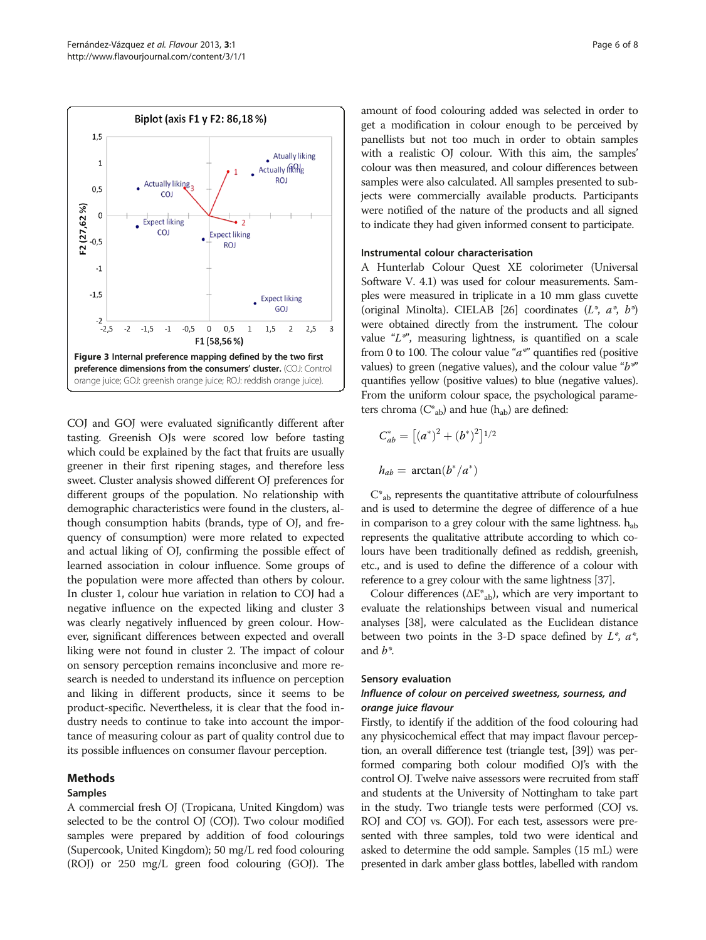<span id="page-5-0"></span>

COJ and GOJ were evaluated significantly different after tasting. Greenish OJs were scored low before tasting which could be explained by the fact that fruits are usually greener in their first ripening stages, and therefore less sweet. Cluster analysis showed different OJ preferences for different groups of the population. No relationship with demographic characteristics were found in the clusters, although consumption habits (brands, type of OJ, and frequency of consumption) were more related to expected and actual liking of OJ, confirming the possible effect of learned association in colour influence. Some groups of the population were more affected than others by colour. In cluster 1, colour hue variation in relation to COJ had a negative influence on the expected liking and cluster 3 was clearly negatively influenced by green colour. However, significant differences between expected and overall liking were not found in cluster 2. The impact of colour on sensory perception remains inconclusive and more research is needed to understand its influence on perception and liking in different products, since it seems to be product-specific. Nevertheless, it is clear that the food industry needs to continue to take into account the importance of measuring colour as part of quality control due to its possible influences on consumer flavour perception.

## Methods

### Samples

A commercial fresh OJ (Tropicana, United Kingdom) was selected to be the control OJ (COJ). Two colour modified samples were prepared by addition of food colourings (Supercook, United Kingdom); 50 mg/L red food colouring (ROJ) or 250 mg/L green food colouring (GOJ). The amount of food colouring added was selected in order to get a modification in colour enough to be perceived by panellists but not too much in order to obtain samples with a realistic OJ colour. With this aim, the samples' colour was then measured, and colour differences between samples were also calculated. All samples presented to subjects were commercially available products. Participants were notified of the nature of the products and all signed to indicate they had given informed consent to participate.

#### Instrumental colour characterisation

A Hunterlab Colour Quest XE colorimeter (Universal Software V. 4.1) was used for colour measurements. Samples were measured in triplicate in a 10 mm glass cuvette (original Minolta). CIELAB [[26](#page-7-0)] coordinates  $(L^*, a^*, b^*)$ were obtained directly from the instrument. The colour value " $L^*$ ", measuring lightness, is quantified on a scale from 0 to 100. The colour value " $a^*$ " quantifies red (positive values) to green (negative values), and the colour value " $b^*$ " quantifies yellow (positive values) to blue (negative values). From the uniform colour space, the psychological parameters chroma  $(C^*_{ab})$  and hue  $(h_{ab})$  are defined:

$$
C_{ab}^{*} = [(a^{*})^{2} + (b^{*})^{2}]^{1/2}
$$
  

$$
h_{ab} = \arctan(b^{*}/a^{*})
$$

 $C^*$ <sub>ab</sub> represents the quantitative attribute of colourfulness and is used to determine the degree of difference of a hue in comparison to a grey colour with the same lightness.  $h_{ab}$ represents the qualitative attribute according to which colours have been traditionally defined as reddish, greenish, etc., and is used to define the difference of a colour with reference to a grey colour with the same lightness [\[37\]](#page-7-0).

Colour differences  $(\Delta E_{ab}^*)$ , which are very important to evaluate the relationships between visual and numerical analyses [[38](#page-7-0)], were calculated as the Euclidean distance between two points in the 3-D space defined by  $L^*$ ,  $a^*$ , and  $b^*$ .

#### Sensory evaluation

### Influence of colour on perceived sweetness, sourness, and orange juice flavour

Firstly, to identify if the addition of the food colouring had any physicochemical effect that may impact flavour perception, an overall difference test (triangle test, [\[39\]](#page-7-0)) was performed comparing both colour modified OJ's with the control OJ. Twelve naive assessors were recruited from staff and students at the University of Nottingham to take part in the study. Two triangle tests were performed (COJ vs. ROJ and COJ vs. GOJ). For each test, assessors were presented with three samples, told two were identical and asked to determine the odd sample. Samples (15 mL) were presented in dark amber glass bottles, labelled with random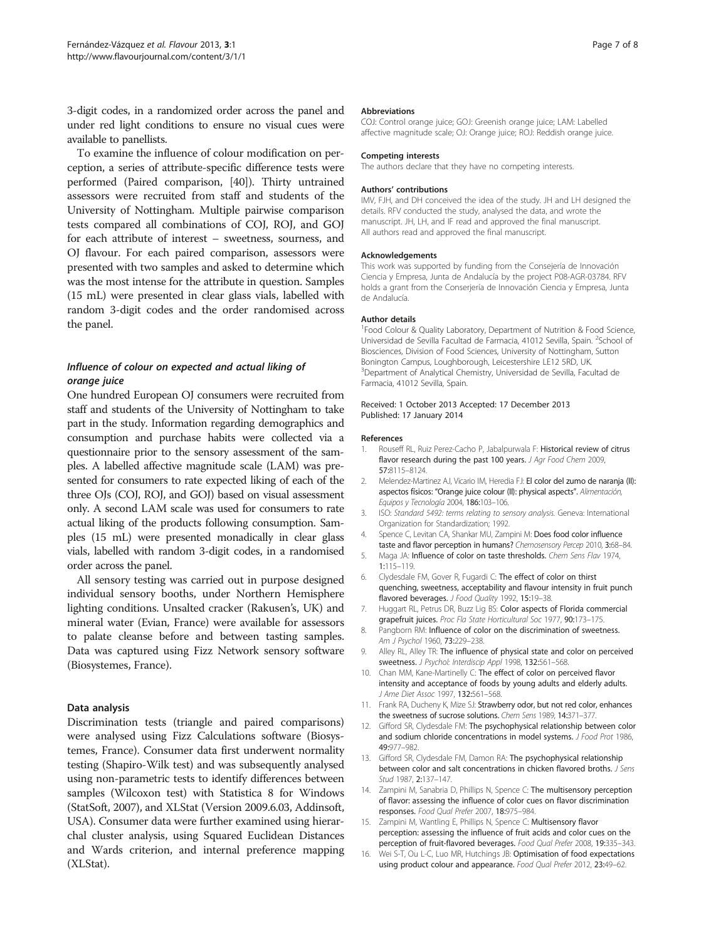<span id="page-6-0"></span>3-digit codes, in a randomized order across the panel and under red light conditions to ensure no visual cues were available to panellists.

To examine the influence of colour modification on perception, a series of attribute-specific difference tests were performed (Paired comparison, [[40\]](#page-7-0)). Thirty untrained assessors were recruited from staff and students of the University of Nottingham. Multiple pairwise comparison tests compared all combinations of COJ, ROJ, and GOJ for each attribute of interest – sweetness, sourness, and OJ flavour. For each paired comparison, assessors were presented with two samples and asked to determine which was the most intense for the attribute in question. Samples (15 mL) were presented in clear glass vials, labelled with random 3-digit codes and the order randomised across the panel.

## Influence of colour on expected and actual liking of orange juice

One hundred European OJ consumers were recruited from staff and students of the University of Nottingham to take part in the study. Information regarding demographics and consumption and purchase habits were collected via a questionnaire prior to the sensory assessment of the samples. A labelled affective magnitude scale (LAM) was presented for consumers to rate expected liking of each of the three OJs (COJ, ROJ, and GOJ) based on visual assessment only. A second LAM scale was used for consumers to rate actual liking of the products following consumption. Samples (15 mL) were presented monadically in clear glass vials, labelled with random 3-digit codes, in a randomised order across the panel.

All sensory testing was carried out in purpose designed individual sensory booths, under Northern Hemisphere lighting conditions. Unsalted cracker (Rakusen's, UK) and mineral water (Evian, France) were available for assessors to palate cleanse before and between tasting samples. Data was captured using Fizz Network sensory software (Biosystemes, France).

#### Data analysis

Discrimination tests (triangle and paired comparisons) were analysed using Fizz Calculations software (Biosystemes, France). Consumer data first underwent normality testing (Shapiro-Wilk test) and was subsequently analysed using non-parametric tests to identify differences between samples (Wilcoxon test) with Statistica 8 for Windows (StatSoft, 2007), and XLStat (Version 2009.6.03, Addinsoft, USA). Consumer data were further examined using hierarchal cluster analysis, using Squared Euclidean Distances and Wards criterion, and internal preference mapping (XLStat).

#### Abbreviations

COJ: Control orange juice; GOJ: Greenish orange juice; LAM: Labelled affective magnitude scale; OJ: Orange juice; ROJ: Reddish orange juice.

#### Competing interests

The authors declare that they have no competing interests.

#### Authors' contributions

IMV, FJH, and DH conceived the idea of the study. JH and LH designed the details. RFV conducted the study, analysed the data, and wrote the manuscript. JH, LH, and IF read and approved the final manuscript. All authors read and approved the final manuscript.

#### Acknowledgements

This work was supported by funding from the Consejería de Innovación Ciencia y Empresa, Junta de Andalucía by the project P08-AGR-03784. RFV holds a grant from the Conserjería de Innovación Ciencia y Empresa, Junta de Andalucía.

#### Author details

<sup>1</sup> Food Colour & Quality Laboratory, Department of Nutrition & Food Science, Universidad de Sevilla Facultad de Farmacia, 41012 Sevilla, Spain. <sup>2</sup>School of Biosciences, Division of Food Sciences, University of Nottingham, Sutton Bonington Campus, Loughborough, Leicestershire LE12 5RD, UK. <sup>3</sup>Department of Analytical Chemistry, Universidad de Sevilla, Facultad de Farmacia, 41012 Sevilla, Spain.

#### Received: 1 October 2013 Accepted: 17 December 2013 Published: 17 January 2014

#### References

- 1. Rouseff RL, Ruiz Perez-Cacho P, Jabalpurwala F: Historical review of citrus flavor research during the past 100 years. J Agr Food Chem 2009, 57:8115–8124.
- 2. Melendez-Martinez AJ, Vicario IM, Heredia FJ: El color del zumo de naranja (II): aspectos físicos: "Orange juice colour (II): physical aspects". Alimentación, Equipos y Tecnología 2004, 186:103–106.
- 3. ISO: Standard 5492: terms relating to sensory analysis. Geneva: International Organization for Standardization; 1992.
- 4. Spence C, Levitan CA, Shankar MU, Zampini M: Does food color influence taste and flavor perception in humans? Chemosensory Percep 2010, 3:68–84.
- 5. Maga JA: Influence of color on taste thresholds. Chem Sens Flav 1974, 1:115–119.
- 6. Clydesdale FM, Gover R, Fugardi C: The effect of color on thirst quenching, sweetness, acceptability and flavour intensity in fruit punch flavored beverages. J Food Quality 1992, 15:19-38.
- 7. Huggart RL, Petrus DR, Buzz Lig BS: Color aspects of Florida commercial grapefruit juices. Proc Fla State Horticultural Soc 1977, 90:173-175.
- 8. Pangborn RM: Influence of color on the discrimination of sweetness. Am J Psychol 1960, 73:229–238.
- 9. Alley RL, Alley TR: The influence of physical state and color on perceived sweetness. J Psychol: Interdiscip Appl 1998, 132:561–568.
- 10. Chan MM, Kane-Martinelly C: The effect of color on perceived flavor intensity and acceptance of foods by young adults and elderly adults. J Ame Diet Assoc 1997, 132:561-568.
- 11. Frank RA, Ducheny K, Mize SJ: Strawberry odor, but not red color, enhances the sweetness of sucrose solutions. Chem Sens 1989, 14:371–377.
- 12. Gifford SR, Clydesdale FM: The psychophysical relationship between color and sodium chloride concentrations in model systems. J Food Prot 1986, 49:977–982.
- 13. Gifford SR, Clydesdale FM, Damon RA: The psychophysical relationship between color and salt concentrations in chicken flavored broths. *J Sens* Stud 1987, 2:137–147.
- 14. Zampini M, Sanabria D, Phillips N, Spence C: The multisensory perception of flavor: assessing the influence of color cues on flavor discrimination responses. Food Qual Prefer 2007, 18:975–984.
- 15. Zampini M, Wantling E, Phillips N, Spence C: Multisensory flavor perception: assessing the influence of fruit acids and color cues on the perception of fruit-flavored beverages. Food Qual Prefer 2008, 19:335–343.
- 16. Wei S-T, Ou L-C, Luo MR, Hutchings JB: Optimisation of food expectations using product colour and appearance. Food Qual Prefer 2012, 23:49–62.